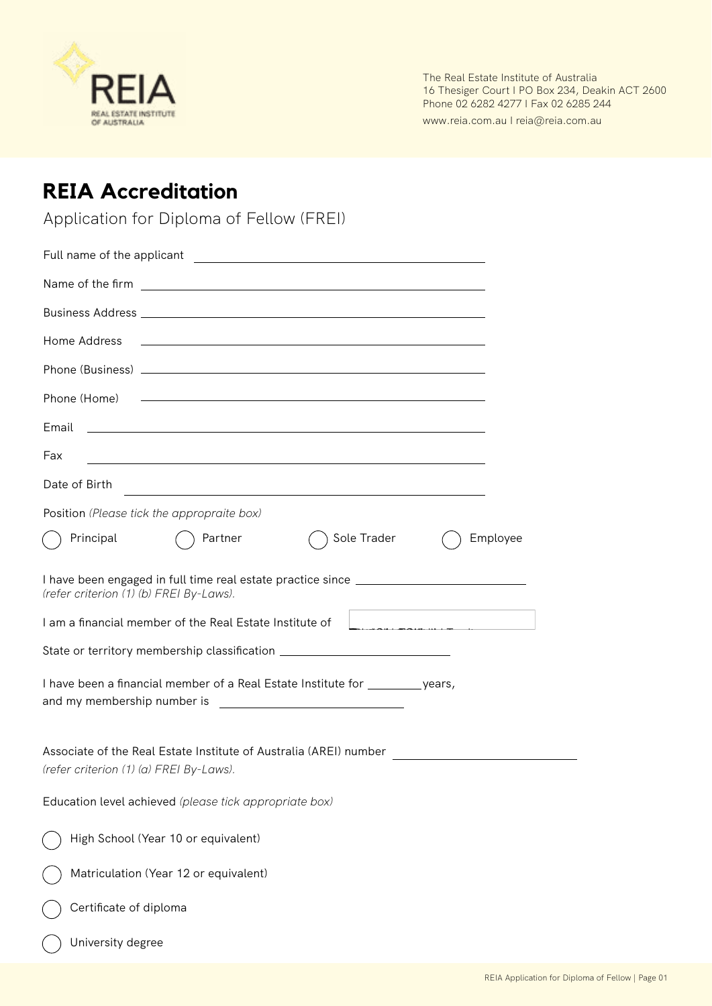

The Real Estate Institute of Australia 16 Thesiger Court I PO Box 234, Deakin ACT 2600 Phone 02 6282 4277 | Fax 02 6285 244

www.reia.com.au I reia@reia.com.au

## **REIA Accreditation**

Application for Diploma of Fellow (FREI)

| Name of the firm entries and the second service of the firm of the service of the service of the service of the service of the service of the service of the service of the service of the service of the service of the servi |
|--------------------------------------------------------------------------------------------------------------------------------------------------------------------------------------------------------------------------------|
|                                                                                                                                                                                                                                |
| Home Address                                                                                                                                                                                                                   |
|                                                                                                                                                                                                                                |
|                                                                                                                                                                                                                                |
| Email<br><u> 1989 - Andrea Barbara, poeta esperanto-poeta esperanto-poeta esperanto-poeta esperanto-poeta esperanto-poeta</u>                                                                                                  |
| Fax<br><u> 1989 - Johann Stoff, deutscher Stoffen und der Stoffen und der Stoffen und der Stoffen und der Stoffen und der</u>                                                                                                  |
| Date of Birth<br>and the control of the control of the control of the control of the control of the control of the control of the                                                                                              |
| Position (Please tick the appropraite box)                                                                                                                                                                                     |
| Sole Trader<br>Employee<br>Principal<br>Partner                                                                                                                                                                                |
| I have been engaged in full time real estate practice since _____________________<br>(refer criterion (1) (b) FREI By-Laws).                                                                                                   |
| I am a financial member of the Real Estate Institute of                                                                                                                                                                        |
| State or territory membership classification ___________________________________                                                                                                                                               |
| I have been a financial member of a Real Estate Institute for __________ years,                                                                                                                                                |
| Associate of the Real Estate Institute of Australia (AREI) number<br>(refer criterion (1) (a) FREI By-Laws).                                                                                                                   |
| Education level achieved (please tick appropriate box)                                                                                                                                                                         |
| High School (Year 10 or equivalent)                                                                                                                                                                                            |
| Matriculation (Year 12 or equivalent)                                                                                                                                                                                          |
| Certificate of diploma                                                                                                                                                                                                         |
| University degree                                                                                                                                                                                                              |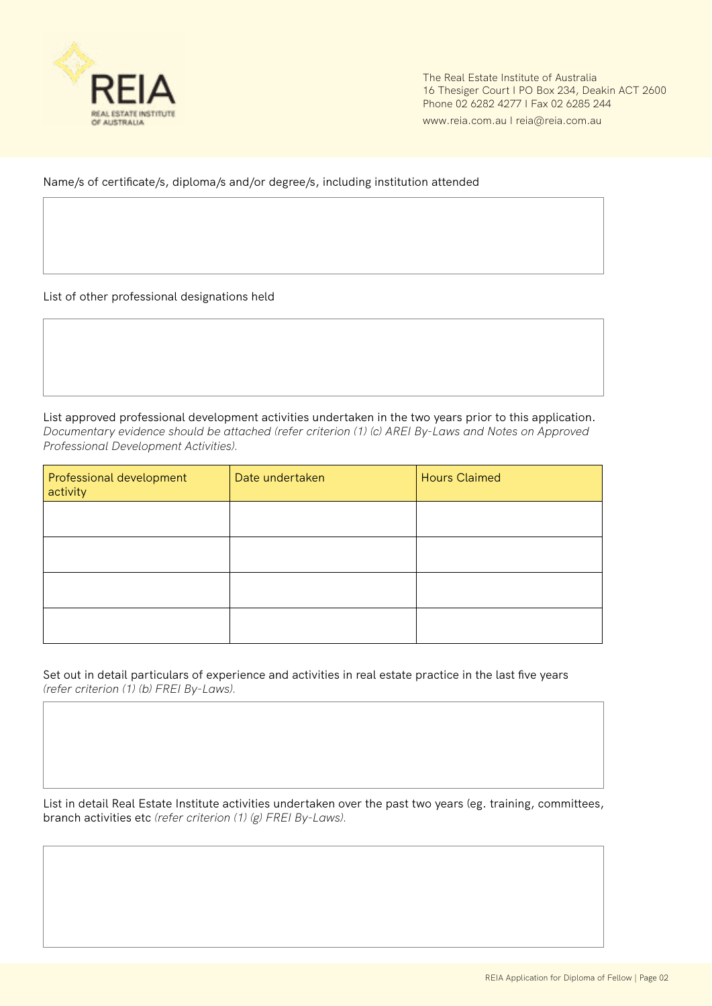

The Real Estate Institute of Australia 16 Thesiger Court I PO Box 234, Deakin ACT 2600 Phone 02 6282 4277 I Fax 02 6285 244

www.reia.com.au I reia@reia.com.au

Name/s of certificate/s, diploma/s and/or degree/s, including institution attended

List of other professional designations held

List approved professional development activities undertaken in the two years prior to this application. *Documentary evidence should be attached (refer criterion (1) (c) AREI By-Laws and Notes on Approved Professional Development Activities).*

| Professional development<br>activity | Date undertaken | <b>Hours Claimed</b> |
|--------------------------------------|-----------------|----------------------|
|                                      |                 |                      |
|                                      |                 |                      |
|                                      |                 |                      |
|                                      |                 |                      |

Set out in detail particulars of experience and activities in real estate practice in the last five years *(refer criterion (1) (b) FREI By-Laws).*

List in detail Real Estate Institute activities undertaken over the past two years (eg. training, committees, branch activities etc *(refer criterion (1) (g) FREI By-Laws).*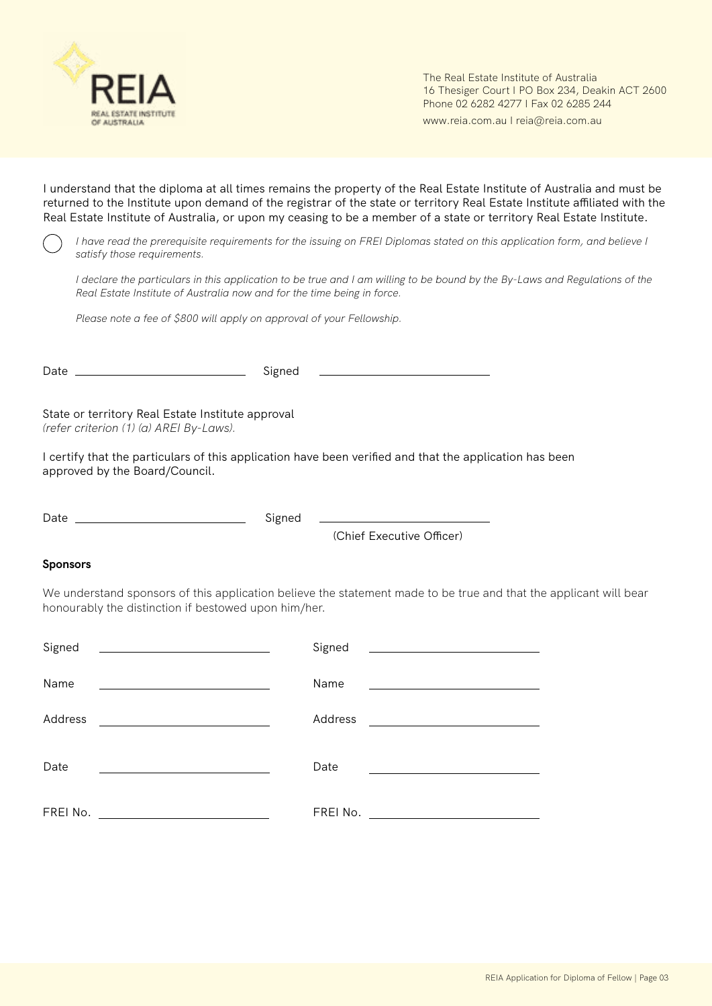

The Real Estate Institute of Australia 16 Thesiger Court I PO Box 234, Deakin ACT 2600 Phone 02 6282 4277 I Fax 02 6285 244

www.reia.com.au I reia@reia.com.au

I understand that the diploma at all times remains the property of the Real Estate Institute of Australia and must be returned to the Institute upon demand of the registrar of the state or territory Real Estate Institute affiliated with the Real Estate Institute of Australia, or upon my ceasing to be a member of a state or territory Real Estate Institute.

*I have read the prerequisite requirements for the issuing on FREI Diplomas stated on this application form, and believe I satisfy those requirements.*

*I declare the particulars in this application to be true and I am willing to be bound by the By-Laws and Regulations of the Real Estate Institute of Australia now and for the time being in force.*

*Please note a fee of \$800 will apply on approval of your Fellowship.* 

|                                                                                              | Signed | <u> Alexandria de la contrada de la contrada de la contrada de la contrada de la contrada de la contrada de la c</u>                              |
|----------------------------------------------------------------------------------------------|--------|---------------------------------------------------------------------------------------------------------------------------------------------------|
| State or territory Real Estate Institute approval<br>(refer criterion (1) (a) AREI By-Laws). |        |                                                                                                                                                   |
| approved by the Board/Council.                                                               |        | I certify that the particulars of this application have been verified and that the application has been                                           |
|                                                                                              | Signed | <u> 1989 - Johann Barn, mars ann an t-Amhain Aonaich an t-Aonaich an t-Aonaich ann an t-Aonaich ann an t-Aonaich</u><br>(Chief Executive Officer) |
| <b>Sponsors</b>                                                                              |        |                                                                                                                                                   |

We understand sponsors of this application believe the statement made to be true and that the applicant will bear honourably the distinction if bestowed upon him/her.

| Signed<br>the control of the control of the control of the control of the control of the control of | Signed<br><u> 1989 - John Harry Harry Harry Harry Harry Harry Harry Harry Harry Harry Harry Harry Harry Harry Harry Harry H</u> |
|-----------------------------------------------------------------------------------------------------|---------------------------------------------------------------------------------------------------------------------------------|
|                                                                                                     |                                                                                                                                 |
| Name                                                                                                | Name<br><u> 1980 - Andrea State Barbara, amerikan per</u>                                                                       |
| Address                                                                                             | Address<br><u> 1989 - Andrea Station Barbara, amerikan per</u>                                                                  |
|                                                                                                     |                                                                                                                                 |
| Date                                                                                                | Date                                                                                                                            |
|                                                                                                     |                                                                                                                                 |
| FREI No.                                                                                            | FREI No.                                                                                                                        |
|                                                                                                     |                                                                                                                                 |